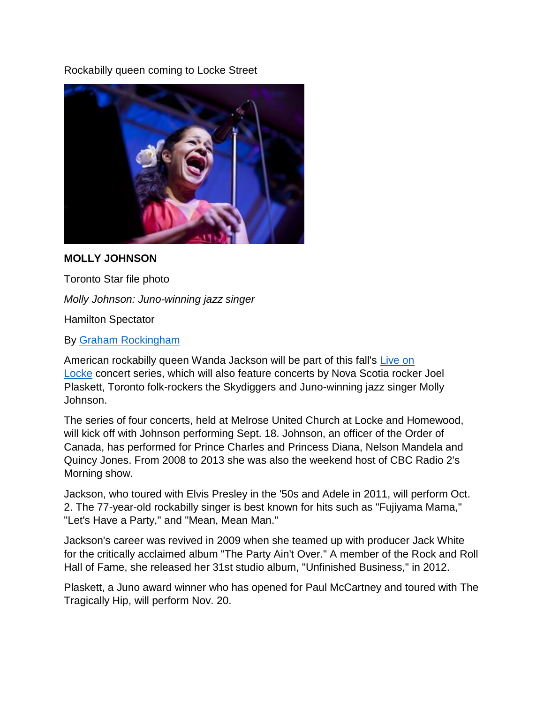Rockabilly queen coming to Locke Street



## **MOLLY JOHNSON**

Toronto Star file photo

*Molly Johnson: Juno-winning jazz singer*

Hamilton Spectator

By [Graham Rockingham](http://www.thespec.com/hamilton-author/graham-rockingham/2ff0c27b-0289-4232-b726-e66cc72b7897)

American rockabilly queen Wanda Jackson will be part of this fall's [Live on](http://www.liveonlocke.com/)  [Locke](http://www.liveonlocke.com/) concert series, which will also feature concerts by Nova Scotia rocker Joel Plaskett, Toronto folk-rockers the Skydiggers and Juno-winning jazz singer Molly Johnson.

The series of four concerts, held at Melrose United Church at Locke and Homewood, will kick off with Johnson performing Sept. 18. Johnson, an officer of the Order of Canada, has performed for Prince Charles and Princess Diana, Nelson Mandela and Quincy Jones. From 2008 to 2013 she was also the weekend host of CBC Radio 2's Morning show.

Jackson, who toured with Elvis Presley in the '50s and Adele in 2011, will perform Oct. 2. The 77-year-old rockabilly singer is best known for hits such as "Fujiyama Mama," "Let's Have a Party," and "Mean, Mean Man."

Jackson's career was revived in 2009 when she teamed up with producer Jack White for the critically acclaimed album "The Party Ain't Over." A member of the Rock and Roll Hall of Fame, she released her 31st studio album, "Unfinished Business," in 2012.

Plaskett, a Juno award winner who has opened for Paul McCartney and toured with The Tragically Hip, will perform Nov. 20.